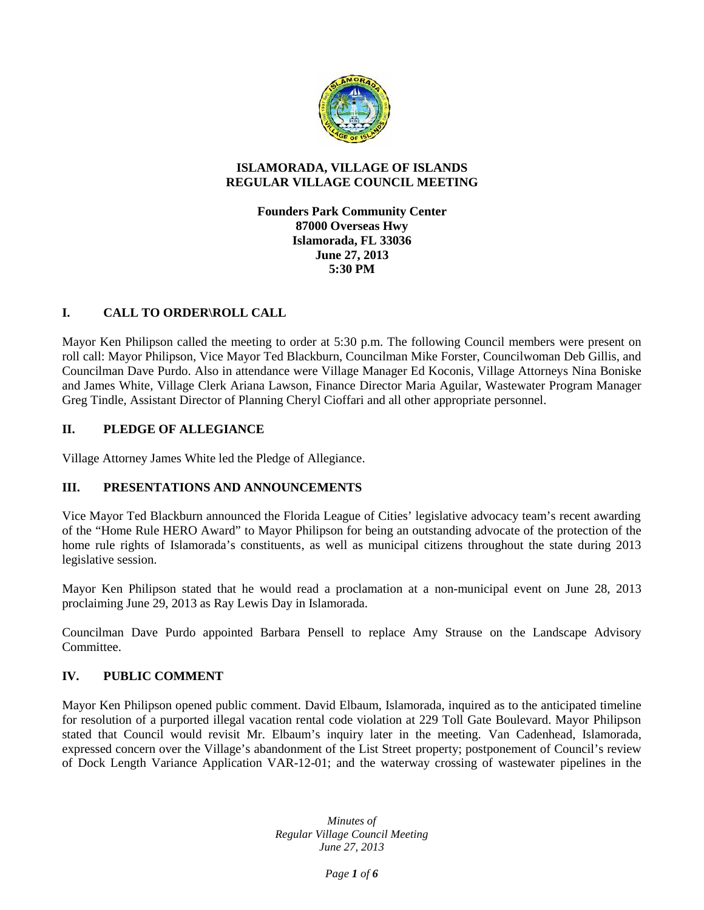

## **ISLAMORADA, VILLAGE OF ISLANDS REGULAR VILLAGE COUNCIL MEETING**

**Founders Park Community Center 87000 Overseas Hwy Islamorada, FL 33036 June 27, 2013 5:30 PM**

# **I. CALL TO ORDER\ROLL CALL**

Mayor Ken Philipson called the meeting to order at 5:30 p.m. The following Council members were present on roll call: Mayor Philipson, Vice Mayor Ted Blackburn, Councilman Mike Forster, Councilwoman Deb Gillis, and Councilman Dave Purdo. Also in attendance were Village Manager Ed Koconis, Village Attorneys Nina Boniske and James White, Village Clerk Ariana Lawson, Finance Director Maria Aguilar, Wastewater Program Manager Greg Tindle, Assistant Director of Planning Cheryl Cioffari and all other appropriate personnel.

# **II. PLEDGE OF ALLEGIANCE**

Village Attorney James White led the Pledge of Allegiance.

# **III. PRESENTATIONS AND ANNOUNCEMENTS**

Vice Mayor Ted Blackburn announced the Florida League of Cities' legislative advocacy team's recent awarding of the "Home Rule HERO Award" to Mayor Philipson for being an outstanding advocate of the protection of the home rule rights of Islamorada's constituents, as well as municipal citizens throughout the state during 2013 legislative session.

Mayor Ken Philipson stated that he would read a proclamation at a non-municipal event on June 28, 2013 proclaiming June 29, 2013 as Ray Lewis Day in Islamorada.

Councilman Dave Purdo appointed Barbara Pensell to replace Amy Strause on the Landscape Advisory Committee.

# **IV. PUBLIC COMMENT**

Mayor Ken Philipson opened public comment. David Elbaum, Islamorada, inquired as to the anticipated timeline for resolution of a purported illegal vacation rental code violation at 229 Toll Gate Boulevard. Mayor Philipson stated that Council would revisit Mr. Elbaum's inquiry later in the meeting. Van Cadenhead, Islamorada, expressed concern over the Village's abandonment of the List Street property; postponement of Council's review of Dock Length Variance Application VAR-12-01; and the waterway crossing of wastewater pipelines in the

> *Minutes of Regular Village Council Meeting June 27, 2013*

> > *Page 1 of 6*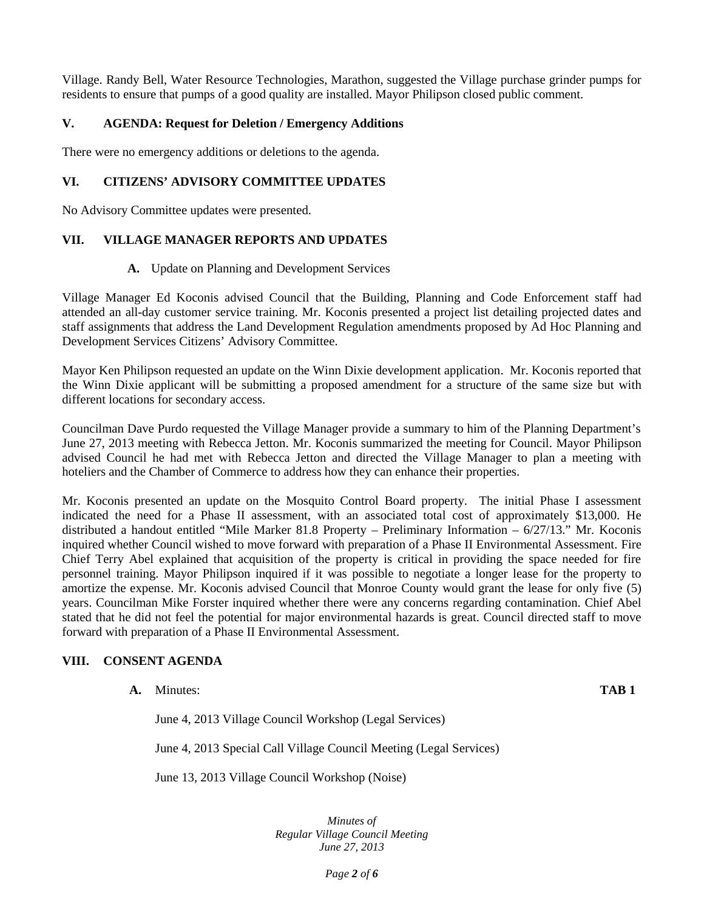Village. Randy Bell, Water Resource Technologies, Marathon, suggested the Village purchase grinder pumps for residents to ensure that pumps of a good quality are installed. Mayor Philipson closed public comment.

## **V. AGENDA: Request for Deletion / Emergency Additions**

There were no emergency additions or deletions to the agenda.

## **VI. CITIZENS' ADVISORY COMMITTEE UPDATES**

No Advisory Committee updates were presented.

# **VII. VILLAGE MANAGER REPORTS AND UPDATES**

#### **A.** Update on Planning and Development Services

Village Manager Ed Koconis advised Council that the Building, Planning and Code Enforcement staff had attended an all-day customer service training. Mr. Koconis presented a project list detailing projected dates and staff assignments that address the Land Development Regulation amendments proposed by Ad Hoc Planning and Development Services Citizens' Advisory Committee.

Mayor Ken Philipson requested an update on the Winn Dixie development application. Mr. Koconis reported that the Winn Dixie applicant will be submitting a proposed amendment for a structure of the same size but with different locations for secondary access.

Councilman Dave Purdo requested the Village Manager provide a summary to him of the Planning Department's June 27, 2013 meeting with Rebecca Jetton. Mr. Koconis summarized the meeting for Council. Mayor Philipson advised Council he had met with Rebecca Jetton and directed the Village Manager to plan a meeting with hoteliers and the Chamber of Commerce to address how they can enhance their properties.

Mr. Koconis presented an update on the Mosquito Control Board property. The initial Phase I assessment indicated the need for a Phase II assessment, with an associated total cost of approximately \$13,000. He distributed a handout entitled "Mile Marker 81.8 Property – Preliminary Information – 6/27/13." Mr. Koconis inquired whether Council wished to move forward with preparation of a Phase II Environmental Assessment. Fire Chief Terry Abel explained that acquisition of the property is critical in providing the space needed for fire personnel training. Mayor Philipson inquired if it was possible to negotiate a longer lease for the property to amortize the expense. Mr. Koconis advised Council that Monroe County would grant the lease for only five (5) years. Councilman Mike Forster inquired whether there were any concerns regarding contamination. Chief Abel stated that he did not feel the potential for major environmental hazards is great. Council directed staff to move forward with preparation of a Phase II Environmental Assessment.

### **VIII. CONSENT AGENDA**

**A.** Minutes: **TAB 1**

June 4, 2013 Village Council Workshop (Legal Services)

June 4, 2013 Special Call Village Council Meeting (Legal Services)

June 13, 2013 Village Council Workshop (Noise)

*Minutes of Regular Village Council Meeting June 27, 2013*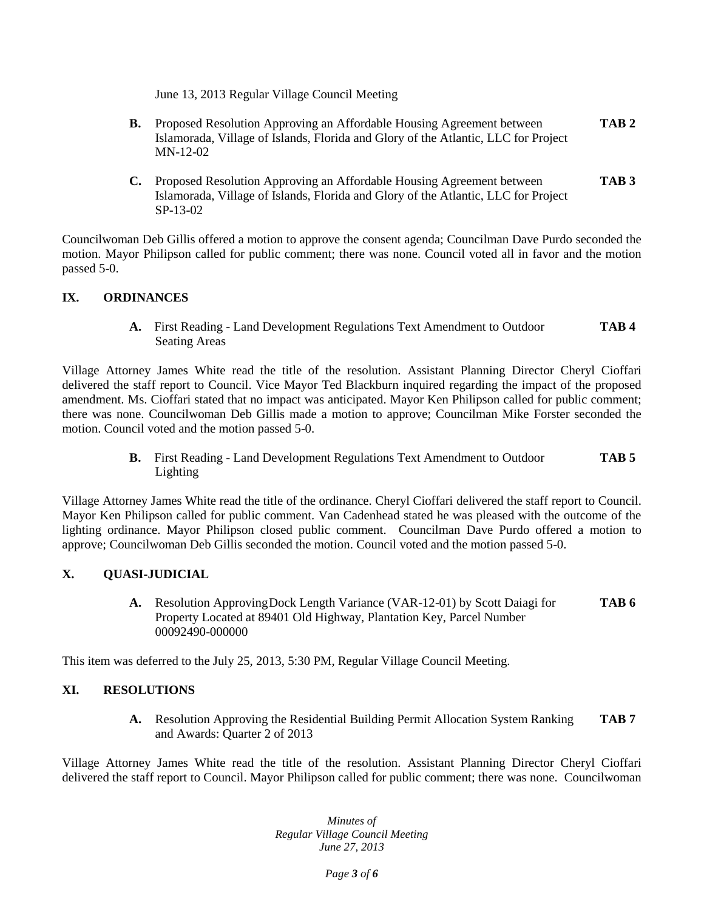June 13, 2013 Regular Village Council Meeting

- **B.** Proposed Resolution Approving an Affordable Housing Agreement between **TAB 2** Islamorada, Village of Islands, Florida and Glory of the Atlantic, LLC for Project MN-12-02
- **C.** Proposed Resolution Approving an Affordable Housing Agreement between **TAB 3** Islamorada, Village of Islands, Florida and Glory of the Atlantic, LLC for Project SP-13-02

Councilwoman Deb Gillis offered a motion to approve the consent agenda; Councilman Dave Purdo seconded the motion. Mayor Philipson called for public comment; there was none. Council voted all in favor and the motion passed 5-0.

# **IX. ORDINANCES**

**A.** First Reading - Land Development Regulations Text Amendment to Outdoor **TAB 4** Seating Areas

Village Attorney James White read the title of the resolution. Assistant Planning Director Cheryl Cioffari delivered the staff report to Council. Vice Mayor Ted Blackburn inquired regarding the impact of the proposed amendment. Ms. Cioffari stated that no impact was anticipated. Mayor Ken Philipson called for public comment; there was none. Councilwoman Deb Gillis made a motion to approve; Councilman Mike Forster seconded the motion. Council voted and the motion passed 5-0.

> **B.** First Reading - Land Development Regulations Text Amendment to Outdoor **TAB 5** Lighting

Village Attorney James White read the title of the ordinance. Cheryl Cioffari delivered the staff report to Council. Mayor Ken Philipson called for public comment. Van Cadenhead stated he was pleased with the outcome of the lighting ordinance. Mayor Philipson closed public comment. Councilman Dave Purdo offered a motion to approve; Councilwoman Deb Gillis seconded the motion. Council voted and the motion passed 5-0.

### **X. QUASI-JUDICIAL**

**A.** Resolution ApprovingDock Length Variance (VAR-12-01) by Scott Daiagi for **TAB 6** Property Located at 89401 Old Highway, Plantation Key, Parcel Number 00092490-000000

This item was deferred to the July 25, 2013, 5:30 PM, Regular Village Council Meeting.

### **XI. RESOLUTIONS**

**A.** Resolution Approving the Residential Building Permit Allocation System Ranking **TAB 7** and Awards: Quarter 2 of 2013

Village Attorney James White read the title of the resolution. Assistant Planning Director Cheryl Cioffari delivered the staff report to Council. Mayor Philipson called for public comment; there was none. Councilwoman

> *Minutes of Regular Village Council Meeting June 27, 2013*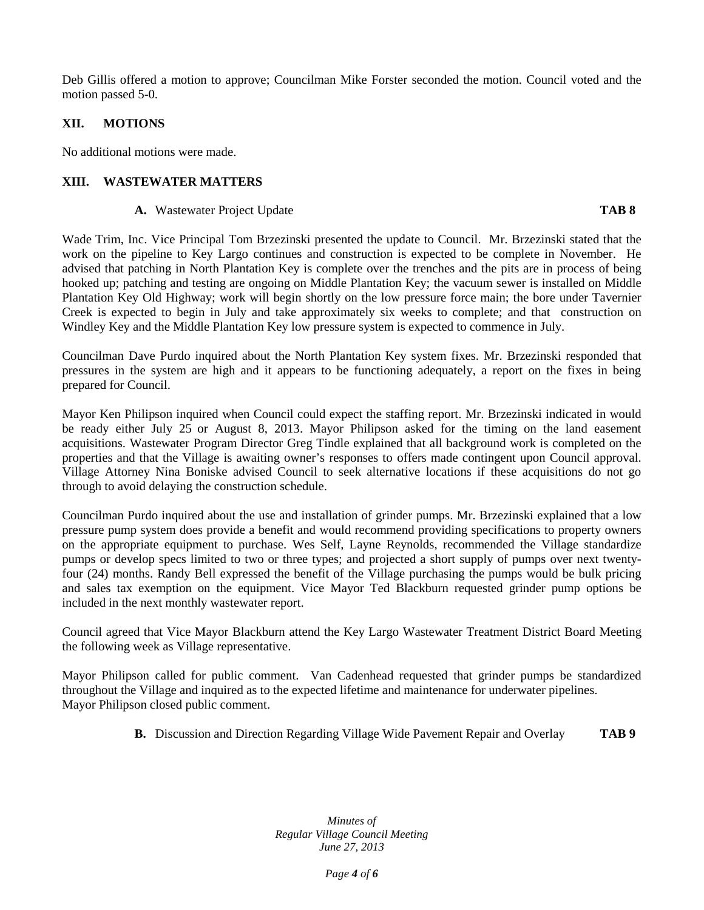Deb Gillis offered a motion to approve; Councilman Mike Forster seconded the motion. Council voted and the motion passed 5-0.

# **XII. MOTIONS**

No additional motions were made.

#### **XIII. WASTEWATER MATTERS**

#### **A.** Wastewater Project Update **TAB 8**

Wade Trim, Inc. Vice Principal Tom Brzezinski presented the update to Council. Mr. Brzezinski stated that the work on the pipeline to Key Largo continues and construction is expected to be complete in November. He advised that patching in North Plantation Key is complete over the trenches and the pits are in process of being hooked up; patching and testing are ongoing on Middle Plantation Key; the vacuum sewer is installed on Middle Plantation Key Old Highway; work will begin shortly on the low pressure force main; the bore under Tavernier Creek is expected to begin in July and take approximately six weeks to complete; and that construction on Windley Key and the Middle Plantation Key low pressure system is expected to commence in July.

Councilman Dave Purdo inquired about the North Plantation Key system fixes. Mr. Brzezinski responded that pressures in the system are high and it appears to be functioning adequately, a report on the fixes in being prepared for Council.

Mayor Ken Philipson inquired when Council could expect the staffing report. Mr. Brzezinski indicated in would be ready either July 25 or August 8, 2013. Mayor Philipson asked for the timing on the land easement acquisitions. Wastewater Program Director Greg Tindle explained that all background work is completed on the properties and that the Village is awaiting owner's responses to offers made contingent upon Council approval. Village Attorney Nina Boniske advised Council to seek alternative locations if these acquisitions do not go through to avoid delaying the construction schedule.

Councilman Purdo inquired about the use and installation of grinder pumps. Mr. Brzezinski explained that a low pressure pump system does provide a benefit and would recommend providing specifications to property owners on the appropriate equipment to purchase. Wes Self, Layne Reynolds, recommended the Village standardize pumps or develop specs limited to two or three types; and projected a short supply of pumps over next twentyfour (24) months. Randy Bell expressed the benefit of the Village purchasing the pumps would be bulk pricing and sales tax exemption on the equipment. Vice Mayor Ted Blackburn requested grinder pump options be included in the next monthly wastewater report.

Council agreed that Vice Mayor Blackburn attend the Key Largo Wastewater Treatment District Board Meeting the following week as Village representative.

Mayor Philipson called for public comment. Van Cadenhead requested that grinder pumps be standardized throughout the Village and inquired as to the expected lifetime and maintenance for underwater pipelines. Mayor Philipson closed public comment.

**B.** Discussion and Direction Regarding Village Wide Pavement Repair and Overlay **TAB 9**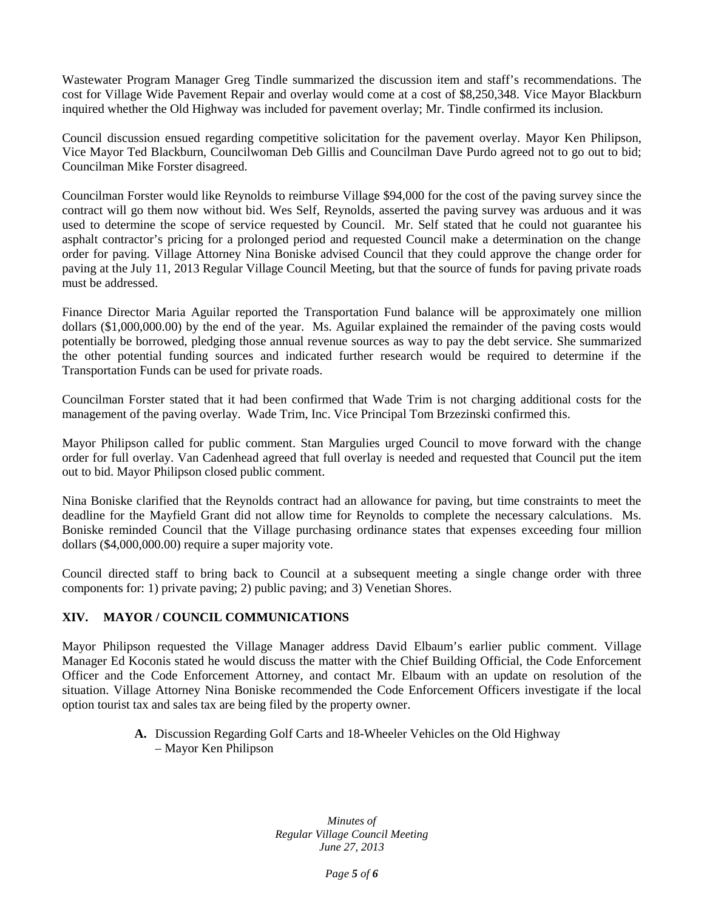Wastewater Program Manager Greg Tindle summarized the discussion item and staff's recommendations. The cost for Village Wide Pavement Repair and overlay would come at a cost of \$8,250,348. Vice Mayor Blackburn inquired whether the Old Highway was included for pavement overlay; Mr. Tindle confirmed its inclusion.

Council discussion ensued regarding competitive solicitation for the pavement overlay. Mayor Ken Philipson, Vice Mayor Ted Blackburn, Councilwoman Deb Gillis and Councilman Dave Purdo agreed not to go out to bid; Councilman Mike Forster disagreed.

Councilman Forster would like Reynolds to reimburse Village \$94,000 for the cost of the paving survey since the contract will go them now without bid. Wes Self, Reynolds, asserted the paving survey was arduous and it was used to determine the scope of service requested by Council. Mr. Self stated that he could not guarantee his asphalt contractor's pricing for a prolonged period and requested Council make a determination on the change order for paving. Village Attorney Nina Boniske advised Council that they could approve the change order for paving at the July 11, 2013 Regular Village Council Meeting, but that the source of funds for paving private roads must be addressed.

Finance Director Maria Aguilar reported the Transportation Fund balance will be approximately one million dollars (\$1,000,000.00) by the end of the year. Ms. Aguilar explained the remainder of the paving costs would potentially be borrowed, pledging those annual revenue sources as way to pay the debt service. She summarized the other potential funding sources and indicated further research would be required to determine if the Transportation Funds can be used for private roads.

Councilman Forster stated that it had been confirmed that Wade Trim is not charging additional costs for the management of the paving overlay. Wade Trim, Inc. Vice Principal Tom Brzezinski confirmed this.

Mayor Philipson called for public comment. Stan Margulies urged Council to move forward with the change order for full overlay. Van Cadenhead agreed that full overlay is needed and requested that Council put the item out to bid. Mayor Philipson closed public comment.

Nina Boniske clarified that the Reynolds contract had an allowance for paving, but time constraints to meet the deadline for the Mayfield Grant did not allow time for Reynolds to complete the necessary calculations. Ms. Boniske reminded Council that the Village purchasing ordinance states that expenses exceeding four million dollars (\$4,000,000.00) require a super majority vote.

Council directed staff to bring back to Council at a subsequent meeting a single change order with three components for: 1) private paving; 2) public paving; and 3) Venetian Shores.

# **XIV. MAYOR / COUNCIL COMMUNICATIONS**

Mayor Philipson requested the Village Manager address David Elbaum's earlier public comment. Village Manager Ed Koconis stated he would discuss the matter with the Chief Building Official, the Code Enforcement Officer and the Code Enforcement Attorney, and contact Mr. Elbaum with an update on resolution of the situation. Village Attorney Nina Boniske recommended the Code Enforcement Officers investigate if the local option tourist tax and sales tax are being filed by the property owner.

> **A.** Discussion Regarding Golf Carts and 18-Wheeler Vehicles on the Old Highway – Mayor Ken Philipson

> > *Minutes of Regular Village Council Meeting June 27, 2013*